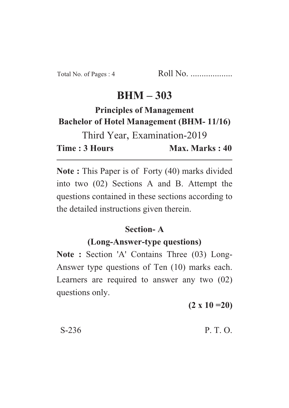# $BHM - 303$

# **Principles of Management Bachelor of Hotel Management (BHM-11/16)**

**Bachelor of Management (BHM- 11/2)** Third Year, Examination-2019 Time: 3 Hours Max. Marks: 40 **Time : 3 Hours Max. Marks : 40**

**Note :** This Paper is of Forty (40) marks divided into two (02) Sections A and B. Attempt the questions contained in these sections according to the detailed instructions given therein.

## **Section-A**

### (Long-Answer-type questions)

**(Long-Answer-type questions) Note : Section 'A' Contains Three (03) Long-**Answer type questions of Ten (10) marks each. Learners are required to answer any two (02) questions only.

**(2 x 10 =20)**

 $S-236$  P. T. O.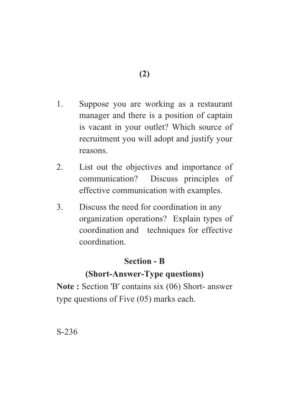- 1. Suppose you are working as a restaurant manager and there is a position of captain is vacant in your outlet? Which source of recruitment you will adopt and justify your reasons.
- 2. List out the objectives and importance of communication? Discuss principles of effective communication with examples.
- 3. Discuss the need for coordination in any organization operations? Explain types of coordination and techniques for effective coordination.

#### **Section - R**

## **(Short-Answer-Type questions)**

**(Short-Answer-Type questions) Note :** Section 'B' contains six (06) Short- answer type questions of Five (05) marks each.

S-236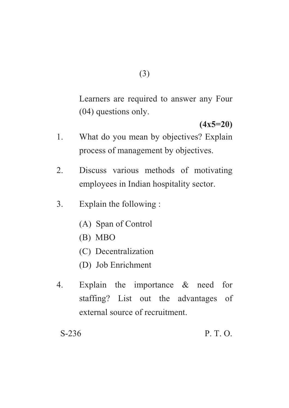Learners are required to answer any Four (04) questions only.

- (<sup>1</sup><br>1x5=20) 1. What do you mean by objectives? Explain process of management by objectives.
- 2. Discuss various methods of motivating employees in Indian hospitality sector.
- 3. Explain the following :
	- (A) Span of Control
	- (B) MBO
	- (C) Decentralization
	- (D) Job Enrichment
- 4. Explain the importance & need for staffing? List out the advantages of external source of recruitment.

S-236 P. T. O.